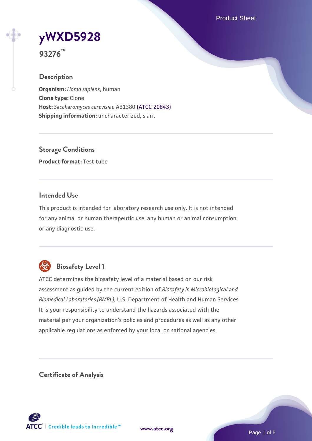Product Sheet

# **[yWXD5928](https://www.atcc.org/products/93276)**

**93276™**

# **Description**

**Organism:** *Homo sapiens*, human **Clone type:** Clone **Host:** *Saccharomyces cerevisiae* AB1380 [\(ATCC 20843\)](https://www.atcc.org/products/20843) **Shipping information:** uncharacterized, slant

**Storage Conditions Product format:** Test tube

## **Intended Use**

This product is intended for laboratory research use only. It is not intended for any animal or human therapeutic use, any human or animal consumption, or any diagnostic use.



# **Biosafety Level 1**

ATCC determines the biosafety level of a material based on our risk assessment as guided by the current edition of *Biosafety in Microbiological and Biomedical Laboratories (BMBL)*, U.S. Department of Health and Human Services. It is your responsibility to understand the hazards associated with the material per your organization's policies and procedures as well as any other applicable regulations as enforced by your local or national agencies.

**Certificate of Analysis**

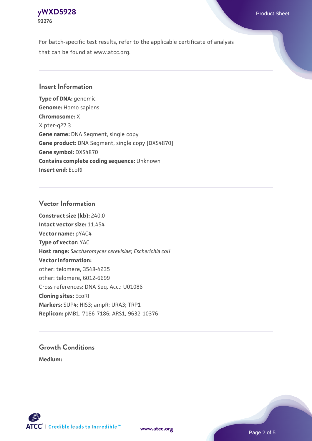# **[yWXD5928](https://www.atcc.org/products/93276)** Product Sheet **93276**

For batch-specific test results, refer to the applicable certificate of analysis that can be found at www.atcc.org.

## **Insert Information**

**Type of DNA:** genomic **Genome:** Homo sapiens **Chromosome:** X X pter-q27.3 **Gene name:** DNA Segment, single copy **Gene product:** DNA Segment, single copy [DXS4870] **Gene symbol:** DXS4870 **Contains complete coding sequence:** Unknown **Insert end:** EcoRI

## **Vector Information**

**Construct size (kb):** 240.0 **Intact vector size:** 11.454 **Vector name:** pYAC4 **Type of vector:** YAC **Host range:** *Saccharomyces cerevisiae*; *Escherichia coli* **Vector information:** other: telomere, 3548-4235 other: telomere, 6012-6699 Cross references: DNA Seq. Acc.: U01086 **Cloning sites:** EcoRI **Markers:** SUP4; HIS3; ampR; URA3; TRP1 **Replicon:** pMB1, 7186-7186; ARS1, 9632-10376

# **Growth Conditions**

**Medium:** 



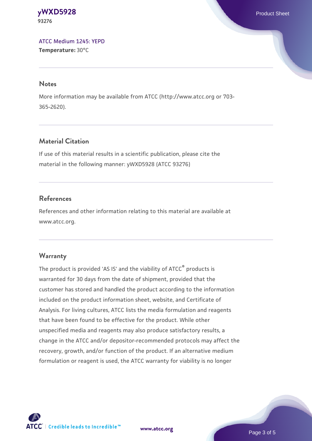#### **[yWXD5928](https://www.atcc.org/products/93276)** Product Sheet **93276**

[ATCC Medium 1245: YEPD](https://www.atcc.org/-/media/product-assets/documents/microbial-media-formulations/1/2/4/5/atcc-medium-1245.pdf?rev=705ca55d1b6f490a808a965d5c072196) **Temperature:** 30°C

#### **Notes**

More information may be available from ATCC (http://www.atcc.org or 703- 365-2620).

# **Material Citation**

If use of this material results in a scientific publication, please cite the material in the following manner: yWXD5928 (ATCC 93276)

# **References**

References and other information relating to this material are available at www.atcc.org.

# **Warranty**

The product is provided 'AS IS' and the viability of ATCC® products is warranted for 30 days from the date of shipment, provided that the customer has stored and handled the product according to the information included on the product information sheet, website, and Certificate of Analysis. For living cultures, ATCC lists the media formulation and reagents that have been found to be effective for the product. While other unspecified media and reagents may also produce satisfactory results, a change in the ATCC and/or depositor-recommended protocols may affect the recovery, growth, and/or function of the product. If an alternative medium formulation or reagent is used, the ATCC warranty for viability is no longer



**[www.atcc.org](http://www.atcc.org)**

Page 3 of 5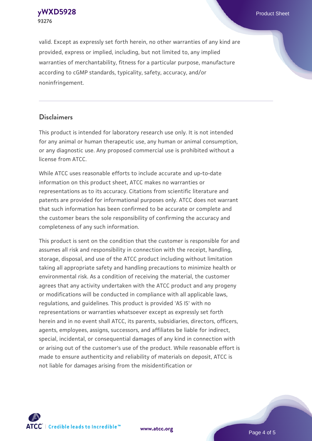**[yWXD5928](https://www.atcc.org/products/93276)** Product Sheet **93276**

valid. Except as expressly set forth herein, no other warranties of any kind are provided, express or implied, including, but not limited to, any implied warranties of merchantability, fitness for a particular purpose, manufacture according to cGMP standards, typicality, safety, accuracy, and/or noninfringement.

#### **Disclaimers**

This product is intended for laboratory research use only. It is not intended for any animal or human therapeutic use, any human or animal consumption, or any diagnostic use. Any proposed commercial use is prohibited without a license from ATCC.

While ATCC uses reasonable efforts to include accurate and up-to-date information on this product sheet, ATCC makes no warranties or representations as to its accuracy. Citations from scientific literature and patents are provided for informational purposes only. ATCC does not warrant that such information has been confirmed to be accurate or complete and the customer bears the sole responsibility of confirming the accuracy and completeness of any such information.

This product is sent on the condition that the customer is responsible for and assumes all risk and responsibility in connection with the receipt, handling, storage, disposal, and use of the ATCC product including without limitation taking all appropriate safety and handling precautions to minimize health or environmental risk. As a condition of receiving the material, the customer agrees that any activity undertaken with the ATCC product and any progeny or modifications will be conducted in compliance with all applicable laws, regulations, and guidelines. This product is provided 'AS IS' with no representations or warranties whatsoever except as expressly set forth herein and in no event shall ATCC, its parents, subsidiaries, directors, officers, agents, employees, assigns, successors, and affiliates be liable for indirect, special, incidental, or consequential damages of any kind in connection with or arising out of the customer's use of the product. While reasonable effort is made to ensure authenticity and reliability of materials on deposit, ATCC is not liable for damages arising from the misidentification or



**[www.atcc.org](http://www.atcc.org)**

Page 4 of 5